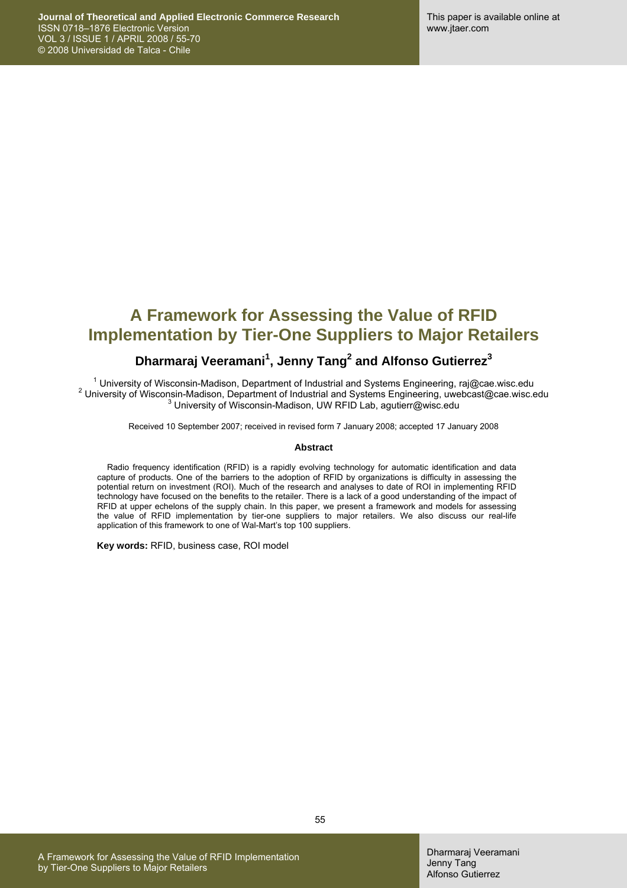# **A Framework for Assessing the Value of RFID Implementation by Tier-One Suppliers to Major Retailers**

### **Dharmaraj Veeramani<sup>1</sup> , Jenny Tang2 and Alfonso Gutierrez3**

<sup>1</sup> University of Wisconsin-Madison, Department of Industrial and Systems Engineering, raj@cae.wisc.edu 2<br>2 University of Micropejn Madison, Department of Industrial and Systems Engineering, uyobaset@see.wisc.edu <sup>2</sup> University of Wisconsin-Madison, Department of Industrial and Systems Engineering, uwebcast@cae.wisc.edu  $3$  University of Wisconsin-Madison, UW RFID Lab, agutierr@wisc.edu

Received 10 September 2007; received in revised form 7 January 2008; accepted 17 January 2008

#### **Abstract**

Radio frequency identification (RFID) is a rapidly evolving technology for automatic identification and data capture of products. One of the barriers to the adoption of RFID by organizations is difficulty in assessing the potential return on investment (ROI). Much of the research and analyses to date of ROI in implementing RFID technology have focused on the benefits to the retailer. There is a lack of a good understanding of the impact of RFID at upper echelons of the supply chain. In this paper, we present a framework and models for assessing the value of RFID implementation by tier-one suppliers to major retailers. We also discuss our real-life application of this framework to one of Wal-Mart's top 100 suppliers.

**Key words:** RFID, business case, ROI model

A Framework for Assessing the Value of RFID Implementation by Tier-One Suppliers to Major Retailers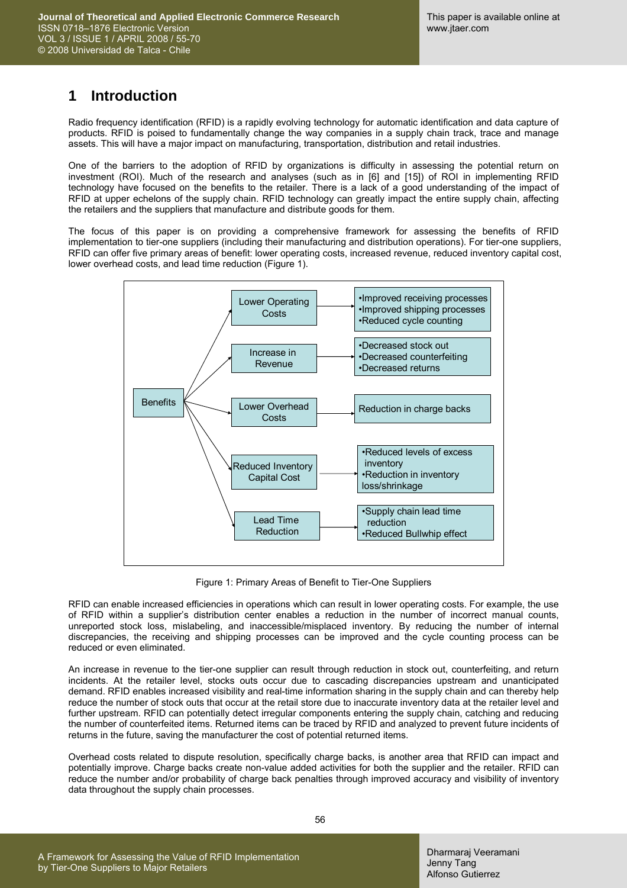## **1 Introduction**

Radio frequency identification (RFID) is a rapidly evolving technology for automatic identification and data capture of products. RFID is poised to fundamentally change the way companies in a supply chain track, trace and manage assets. This will have a major impact on manufacturing, transportation, distribution and retail industries.

One of the barriers to the adoption of RFID by organizations is difficulty in assessing the potential return on investment (ROI). Much of the research and analyses (such as in [6] and [15]) of ROI in implementing RFID technology have focused on the benefits to the retailer. There is a lack of a good understanding of the impact of RFID at upper echelons of the supply chain. RFID technology can greatly impact the entire supply chain, affecting the retailers and the suppliers that manufacture and distribute goods for them.

The focus of this paper is on providing a comprehensive framework for assessing the benefits of RFID implementation to tier-one suppliers (including their manufacturing and distribution operations). For tier-one suppliers, RFID can offer five primary areas of benefit: lower operating costs, increased revenue, reduced inventory capital cost, lower overhead costs, and lead time reduction (Figure 1).



Figure 1: Primary Areas of Benefit to Tier-One Suppliers

RFID can enable increased efficiencies in operations which can result in lower operating costs. For example, the use of RFID within a supplier's distribution center enables a reduction in the number of incorrect manual counts, unreported stock loss, mislabeling, and inaccessible/misplaced inventory. By reducing the number of internal discrepancies, the receiving and shipping processes can be improved and the cycle counting process can be reduced or even eliminated.

An increase in revenue to the tier-one supplier can result through reduction in stock out, counterfeiting, and return incidents. At the retailer level, stocks outs occur due to cascading discrepancies upstream and unanticipated demand. RFID enables increased visibility and real-time information sharing in the supply chain and can thereby help reduce the number of stock outs that occur at the retail store due to inaccurate inventory data at the retailer level and further upstream. RFID can potentially detect irregular components entering the supply chain, catching and reducing the number of counterfeited items. Returned items can be traced by RFID and analyzed to prevent future incidents of returns in the future, saving the manufacturer the cost of potential returned items.

Overhead costs related to dispute resolution, specifically charge backs, is another area that RFID can impact and potentially improve. Charge backs create non-value added activities for both the supplier and the retailer. RFID can reduce the number and/or probability of charge back penalties through improved accuracy and visibility of inventory data throughout the supply chain processes.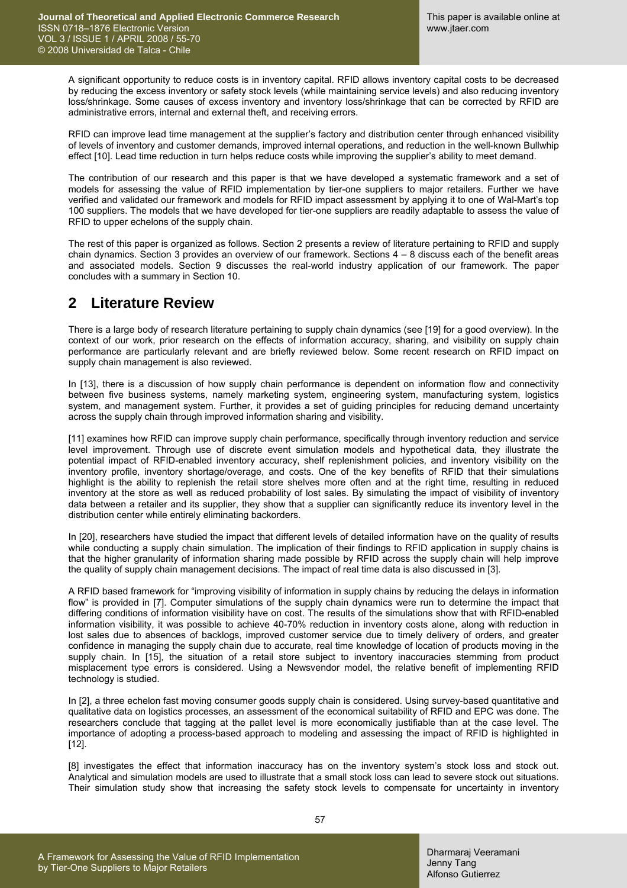A significant opportunity to reduce costs is in inventory capital. RFID allows inventory capital costs to be decreased by reducing the excess inventory or safety stock levels (while maintaining service levels) and also reducing inventory loss/shrinkage. Some causes of excess inventory and inventory loss/shrinkage that can be corrected by RFID are administrative errors, internal and external theft, and receiving errors.

RFID can improve lead time management at the supplier's factory and distribution center through enhanced visibility of levels of inventory and customer demands, improved internal operations, and reduction in the well-known Bullwhip effect [10]. Lead time reduction in turn helps reduce costs while improving the supplier's ability to meet demand.

The contribution of our research and this paper is that we have developed a systematic framework and a set of models for assessing the value of RFID implementation by tier-one suppliers to major retailers. Further we have verified and validated our framework and models for RFID impact assessment by applying it to one of Wal-Mart's top 100 suppliers. The models that we have developed for tier-one suppliers are readily adaptable to assess the value of RFID to upper echelons of the supply chain.

The rest of this paper is organized as follows. Section 2 presents a review of literature pertaining to RFID and supply chain dynamics. Section 3 provides an overview of our framework. Sections 4 – 8 discuss each of the benefit areas and associated models. Section 9 discusses the real-world industry application of our framework. The paper concludes with a summary in Section 10.

### **2 Literature Review**

There is a large body of research literature pertaining to supply chain dynamics (see [19] for a good overview). In the context of our work, prior research on the effects of information accuracy, sharing, and visibility on supply chain performance are particularly relevant and are briefly reviewed below. Some recent research on RFID impact on supply chain management is also reviewed.

In [13], there is a discussion of how supply chain performance is dependent on information flow and connectivity between five business systems, namely marketing system, engineering system, manufacturing system, logistics system, and management system. Further, it provides a set of guiding principles for reducing demand uncertainty across the supply chain through improved information sharing and visibility.

[11] examines how RFID can improve supply chain performance, specifically through inventory reduction and service level improvement. Through use of discrete event simulation models and hypothetical data, they illustrate the potential impact of RFID-enabled inventory accuracy, shelf replenishment policies, and inventory visibility on the inventory profile, inventory shortage/overage, and costs. One of the key benefits of RFID that their simulations highlight is the ability to replenish the retail store shelves more often and at the right time, resulting in reduced inventory at the store as well as reduced probability of lost sales. By simulating the impact of visibility of inventory data between a retailer and its supplier, they show that a supplier can significantly reduce its inventory level in the distribution center while entirely eliminating backorders.

In [20], researchers have studied the impact that different levels of detailed information have on the quality of results while conducting a supply chain simulation. The implication of their findings to RFID application in supply chains is that the higher granularity of information sharing made possible by RFID across the supply chain will help improve the quality of supply chain management decisions. The impact of real time data is also discussed in [3].

A RFID based framework for "improving visibility of information in supply chains by reducing the delays in information flow" is provided in [7]. Computer simulations of the supply chain dynamics were run to determine the impact that differing conditions of information visibility have on cost. The results of the simulations show that with RFID-enabled information visibility, it was possible to achieve 40-70% reduction in inventory costs alone, along with reduction in lost sales due to absences of backlogs, improved customer service due to timely delivery of orders, and greater confidence in managing the supply chain due to accurate, real time knowledge of location of products moving in the supply chain. In [15], the situation of a retail store subject to inventory inaccuracies stemming from product misplacement type errors is considered. Using a Newsvendor model, the relative benefit of implementing RFID technology is studied.

In [2], a three echelon fast moving consumer goods supply chain is considered. Using survey-based quantitative and qualitative data on logistics processes, an assessment of the economical suitability of RFID and EPC was done. The researchers conclude that tagging at the pallet level is more economically justifiable than at the case level. The importance of adopting a process-based approach to modeling and assessing the impact of RFID is highlighted in [12].

[8] investigates the effect that information inaccuracy has on the inventory system's stock loss and stock out. Analytical and simulation models are used to illustrate that a small stock loss can lead to severe stock out situations. Their simulation study show that increasing the safety stock levels to compensate for uncertainty in inventory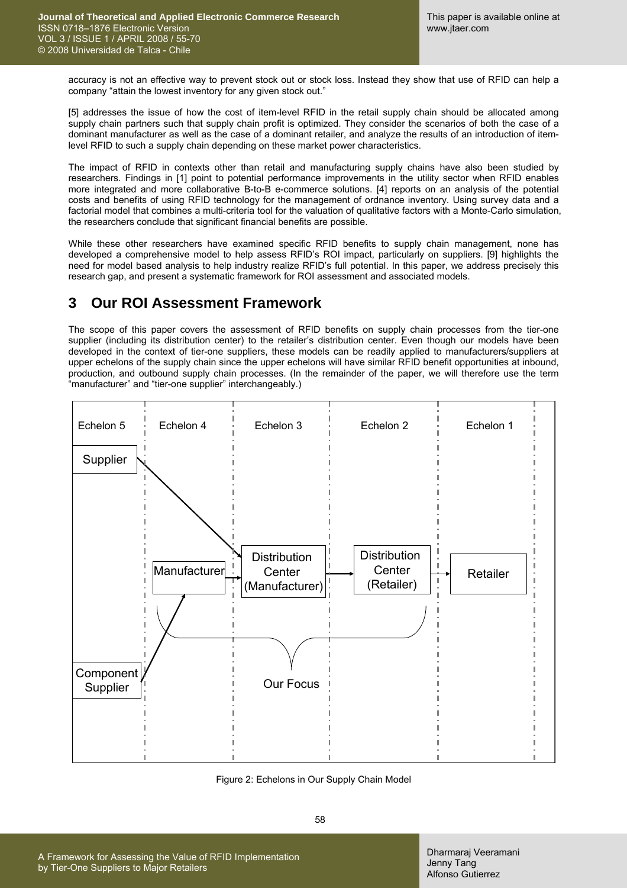accuracy is not an effective way to prevent stock out or stock loss. Instead they show that use of RFID can help a company "attain the lowest inventory for any given stock out."

[5] addresses the issue of how the cost of item-level RFID in the retail supply chain should be allocated among supply chain partners such that supply chain profit is optimized. They consider the scenarios of both the case of a dominant manufacturer as well as the case of a dominant retailer, and analyze the results of an introduction of itemlevel RFID to such a supply chain depending on these market power characteristics.

The impact of RFID in contexts other than retail and manufacturing supply chains have also been studied by researchers. Findings in [1] point to potential performance improvements in the utility sector when RFID enables more integrated and more collaborative B-to-B e-commerce solutions. [4] reports on an analysis of the potential costs and benefits of using RFID technology for the management of ordnance inventory. Using survey data and a factorial model that combines a multi-criteria tool for the valuation of qualitative factors with a Monte-Carlo simulation, the researchers conclude that significant financial benefits are possible.

While these other researchers have examined specific RFID benefits to supply chain management, none has developed a comprehensive model to help assess RFID's ROI impact, particularly on suppliers. [9] highlights the need for model based analysis to help industry realize RFID's full potential. In this paper, we address precisely this research gap, and present a systematic framework for ROI assessment and associated models.

## **3 Our ROI Assessment Framework**

The scope of this paper covers the assessment of RFID benefits on supply chain processes from the tier-one supplier (including its distribution center) to the retailer's distribution center. Even though our models have been developed in the context of tier-one suppliers, these models can be readily applied to manufacturers/suppliers at upper echelons of the supply chain since the upper echelons will have similar RFID benefit opportunities at inbound, production, and outbound supply chain processes. (In the remainder of the paper, we will therefore use the term "manufacturer" and "tier-one supplier" interchangeably.)



Figure 2: Echelons in Our Supply Chain Model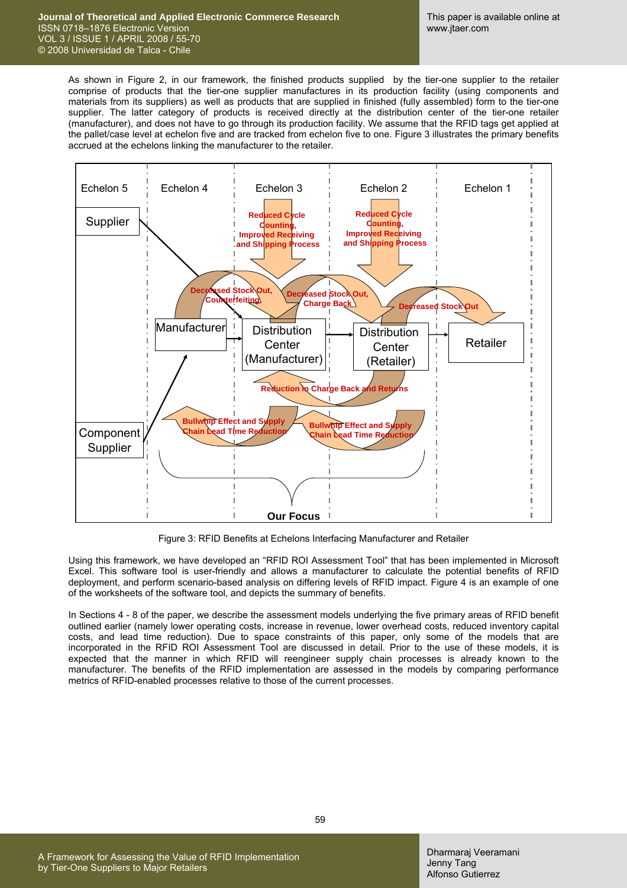#### **Journal of Theoretical and Applied Electronic Commerce Research**  ISSN 0718–1876 Electronic Version VOL 3 / ISSUE 1 / APRIL 2008 / 55-70 © 2008 Universidad de Talca - Chile

As shown in Figure 2, in our framework, the finished products supplied by the tier-one supplier to the retailer comprise of products that the tier-one supplier manufactures in its production facility (using components and materials from its suppliers) as well as products that are supplied in finished (fully assembled) form to the tier-one supplier. The latter category of products is received directly at the distribution center of the tier-one retailer (manufacturer), and does not have to go through its production facility. We assume that the RFID tags get applied at the pallet/case level at echelon five and are tracked from echelon five to one. Figure 3 illustrates the primary benefits accrued at the echelons linking the manufacturer to the retailer.



Figure 3: RFID Benefits at Echelons Interfacing Manufacturer and Retailer

Using this framework, we have developed an "RFID ROI Assessment Tool" that has been implemented in Microsoft Excel. This software tool is user-friendly and allows a manufacturer to calculate the potential benefits of RFID deployment, and perform scenario-based analysis on differing levels of RFID impact. Figure 4 is an example of one of the worksheets of the software tool, and depicts the summary of benefits.

In Sections 4 - 8 of the paper, we describe the assessment models underlying the five primary areas of RFID benefit outlined earlier (namely lower operating costs, increase in revenue, lower overhead costs, reduced inventory capital costs, and lead time reduction). Due to space constraints of this paper, only some of the models that are incorporated in the RFID ROI Assessment Tool are discussed in detail. Prior to the use of these models, it is expected that the manner in which RFID will reengineer supply chain processes is already known to the manufacturer. The benefits of the RFID implementation are assessed in the models by comparing performance metrics of RFID-enabled processes relative to those of the current processes.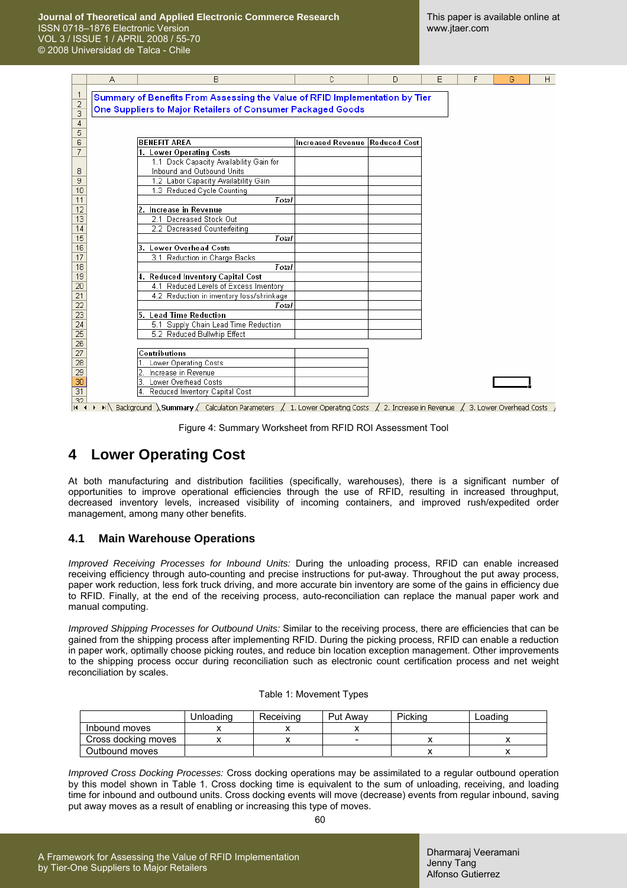**Journal of Theoretical and Applied Electronic Commerce Research**  ISSN 0718–1876 Electronic Version VOL 3 / ISSUE 1 / APRIL 2008 / 55-70 © 2008 Universidad de Talca - Chile

|                       | А | B                                                                                                                                                                                                   | C                              | D | E | F | G | H |
|-----------------------|---|-----------------------------------------------------------------------------------------------------------------------------------------------------------------------------------------------------|--------------------------------|---|---|---|---|---|
| 1                     |   |                                                                                                                                                                                                     |                                |   |   |   |   |   |
| $\overline{2}$        |   | Summary of Benefits From Assessing the Value of RFID Implementation by Tier                                                                                                                         |                                |   |   |   |   |   |
| 3                     |   | One Suppliers to Major Retailers of Consumer Packaged Goods                                                                                                                                         |                                |   |   |   |   |   |
| 4                     |   |                                                                                                                                                                                                     |                                |   |   |   |   |   |
| 5                     |   |                                                                                                                                                                                                     |                                |   |   |   |   |   |
| 6                     |   | <b>BENEFIT AREA</b>                                                                                                                                                                                 | Increased Revenue Reduced Cost |   |   |   |   |   |
| 7                     |   | 1. Lower Operating Costs                                                                                                                                                                            |                                |   |   |   |   |   |
|                       |   | 1.1 Dock Capacity Availability Gain for                                                                                                                                                             |                                |   |   |   |   |   |
| 8                     |   | Inbound and Outbound Units                                                                                                                                                                          |                                |   |   |   |   |   |
| 9                     |   | 1.2 Labor Capacity Availability Gain                                                                                                                                                                |                                |   |   |   |   |   |
| 10                    |   | 1.3 Reduced Cycle Counting                                                                                                                                                                          |                                |   |   |   |   |   |
| 11                    |   | Total                                                                                                                                                                                               |                                |   |   |   |   |   |
| $\overline{12}$       |   | 2. Increase in Revenue                                                                                                                                                                              |                                |   |   |   |   |   |
| 13                    |   | 2.1 Decreased Stock Out                                                                                                                                                                             |                                |   |   |   |   |   |
| 14                    |   | 2.2 Decreased Counterfeiting                                                                                                                                                                        |                                |   |   |   |   |   |
| 15                    |   | Total                                                                                                                                                                                               |                                |   |   |   |   |   |
| 16                    |   | 3. Lower Overhead Costs                                                                                                                                                                             |                                |   |   |   |   |   |
| 17                    |   | 3.1 Reduction in Charge Backs                                                                                                                                                                       |                                |   |   |   |   |   |
| 18                    |   | Total                                                                                                                                                                                               |                                |   |   |   |   |   |
| 19                    |   | 4. Reduced Inventory Capital Cost                                                                                                                                                                   |                                |   |   |   |   |   |
| 20                    |   | 4.1 Reduced Levels of Excess Inventory                                                                                                                                                              |                                |   |   |   |   |   |
| 21                    |   | 4.2 Reduction in inventory loss/shrinkage                                                                                                                                                           |                                |   |   |   |   |   |
| 22                    |   | Total                                                                                                                                                                                               |                                |   |   |   |   |   |
| $\overline{23}$       |   | 5. Lead Time Reduction                                                                                                                                                                              |                                |   |   |   |   |   |
| 24                    |   | 5.1 Supply Chain Lead Time Reduction                                                                                                                                                                |                                |   |   |   |   |   |
| 25                    |   | 5.2 Reduced Bullwhip Effect                                                                                                                                                                         |                                |   |   |   |   |   |
| $\overline{26}$<br>27 |   | Contributions                                                                                                                                                                                       |                                |   |   |   |   |   |
| 28                    |   | Lower Operating Costs                                                                                                                                                                               |                                |   |   |   |   |   |
| 29                    |   | Increase in Revenue                                                                                                                                                                                 |                                |   |   |   |   |   |
| 30                    |   | Lower Overhead Costs<br>13.                                                                                                                                                                         |                                |   |   |   |   |   |
| $\overline{31}$       |   | 4. Reduced Inventory Capital Cost                                                                                                                                                                   |                                |   |   |   |   |   |
| 32                    |   |                                                                                                                                                                                                     |                                |   |   |   |   |   |
| 14.4                  |   | $\blacktriangleright$ Sackground Summary $\bigwedge$ Calculation Parameters $\bigwedge$ 1. Lower Operating Costs $\bigwedge$ 2. Increase in Revenue $\bigwedge$ 3. Lower Overhead Costs $\bigwedge$ |                                |   |   |   |   |   |

Figure 4: Summary Worksheet from RFID ROI Assessment Tool

### **4 Lower Operating Cost**

At both manufacturing and distribution facilities (specifically, warehouses), there is a significant number of opportunities to improve operational efficiencies through the use of RFID, resulting in increased throughput, decreased inventory levels, increased visibility of incoming containers, and improved rush/expedited order management, among many other benefits.

#### **4.1 Main Warehouse Operations**

*Improved Receiving Processes for Inbound Units:* During the unloading process, RFID can enable increased receiving efficiency through auto-counting and precise instructions for put-away. Throughout the put away process, paper work reduction, less fork truck driving, and more accurate bin inventory are some of the gains in efficiency due to RFID. Finally, at the end of the receiving process, auto-reconciliation can replace the manual paper work and manual computing.

*Improved Shipping Processes for Outbound Units:* Similar to the receiving process, there are efficiencies that can be gained from the shipping process after implementing RFID. During the picking process, RFID can enable a reduction in paper work, optimally choose picking routes, and reduce bin location exception management. Other improvements to the shipping process occur during reconciliation such as electronic count certification process and net weight reconciliation by scales.

|  | Table 1: Movement Types |  |
|--|-------------------------|--|
|--|-------------------------|--|

|                     | Unloading | Receiving | Put Awav | Picking | ∟oadinɑ |
|---------------------|-----------|-----------|----------|---------|---------|
| Inbound moves       |           |           |          |         |         |
| Cross docking moves |           |           | -        |         |         |
| Outbound moves      |           |           |          |         |         |

*Improved Cross Docking Processes:* Cross docking operations may be assimilated to a regular outbound operation by this model shown in Table 1. Cross docking time is equivalent to the sum of unloading, receiving, and loading time for inbound and outbound units. Cross docking events will move (decrease) events from regular inbound, saving put away moves as a result of enabling or increasing this type of moves.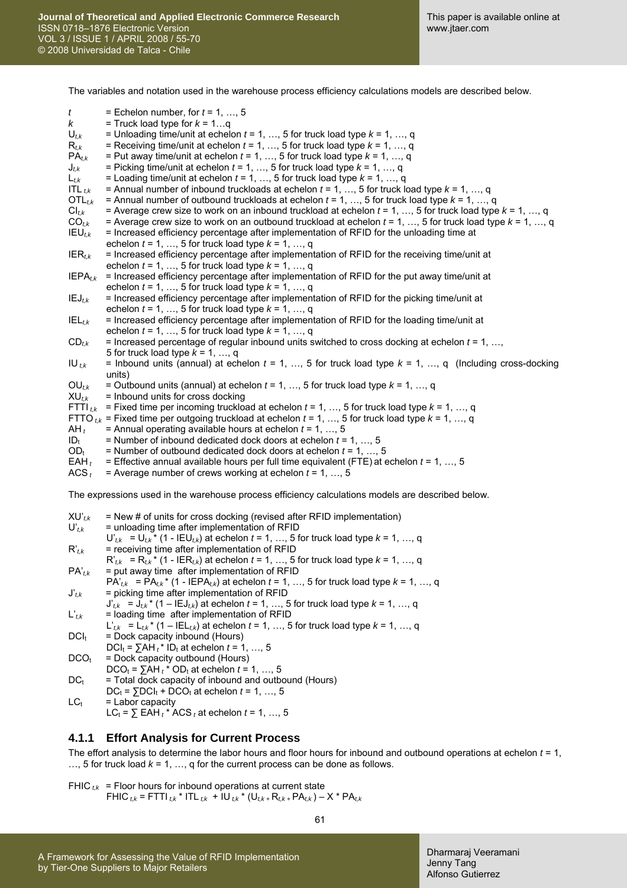The variables and notation used in the warehouse process efficiency calculations models are described below.

| t<br>K<br>$U_{t,k}$              | = Echelon number, for $t = 1, , 5$<br>= Truck load type for $k = 1q$<br>= Unloading time/unit at echelon $t = 1, , 5$ for truck load type $k = 1, , q$                                                                                                             |
|----------------------------------|--------------------------------------------------------------------------------------------------------------------------------------------------------------------------------------------------------------------------------------------------------------------|
| $\mathsf{R}_{t,k}$<br>$PA_{t,k}$ | = Receiving time/unit at echelon $t = 1, , 5$ for truck load type $k = 1, , q$<br>= Put away time/unit at echelon $t = 1, , 5$ for truck load type $k = 1, , q$                                                                                                    |
| ${\mathsf J}_{t,k}$              | = Picking time/unit at echelon $t = 1, , 5$ for truck load type $k = 1, , q$                                                                                                                                                                                       |
| $L_{t,k}$                        | = Loading time/unit at echelon $t = 1, , 5$ for truck load type $k = 1, , q$                                                                                                                                                                                       |
| ITL $_{t,k}$                     | = Annual number of inbound truckloads at echelon $t = 1, , 5$ for truck load type $k = 1, , q$                                                                                                                                                                     |
| $OTL_{t,k}$                      | = Annual number of outbound truckloads at echelon $t = 1, , 5$ for truck load type $k = 1, , q$                                                                                                                                                                    |
| $\mathsf{CI}_{t,k}$              | = Average crew size to work on an inbound truckload at echelon $t = 1, , 5$ for truck load type $k = 1, , q$                                                                                                                                                       |
| $CO_{t,k}$<br>$IEU_{t,k}$        | = Average crew size to work on an outbound truckload at echelon $t = 1, , 5$ for truck load type $k = 1, , q$<br>= Increased efficiency percentage after implementation of RFID for the unloading time at<br>echelon $t = 1, , 5$ for truck load type $k = 1, , q$ |
| $IER_{t,k}$                      | = Increased efficiency percentage after implementation of RFID for the receiving time/unit at<br>echelon $t = 1, , 5$ for truck load type $k = 1, , q$                                                                                                             |
| $IEPA_{t,k}$                     | = Increased efficiency percentage after implementation of RFID for the put away time/unit at<br>echelon $t = 1, , 5$ for truck load type $k = 1, , q$                                                                                                              |
| $IEJ_{t,k}$                      | = Increased efficiency percentage after implementation of RFID for the picking time/unit at<br>echelon $t = 1, , 5$ for truck load type $k = 1, , q$                                                                                                               |
| $IEL_{t,k}$                      | = Increased efficiency percentage after implementation of RFID for the loading time/unit at<br>echelon $t = 1, , 5$ for truck load type $k = 1, , q$                                                                                                               |
| $CD_{t,k}$                       | = Increased percentage of regular inbound units switched to cross docking at echelon $t = 1, ,$<br>5 for truck load type $k = 1, , q$                                                                                                                              |
| $\mathsf{IU}_{t,k}$              | = Inbound units (annual) at echelon $t = 1, , 5$ for truck load type $k = 1, , q$ (Including cross-docking<br>units)                                                                                                                                               |
| $OU_{t,k}$                       | = Outbound units (annual) at echelon $t = 1, , 5$ for truck load type $k = 1, , q$                                                                                                                                                                                 |
| $XU_{t,k}$                       | = Inbound units for cross docking                                                                                                                                                                                                                                  |
| $FTTI_{t,k}$                     | = Fixed time per incoming truckload at echelon $t = 1, , 5$ for truck load type $k = 1, , q$                                                                                                                                                                       |
| $AH_t$                           | FTTO $_{tk}$ = Fixed time per outgoing truckload at echelon $t = 1, , 5$ for truck load type $k = 1, , q$<br>= Annual operating available hours at echelon $t = 1, , 5$                                                                                            |
| $ID_t$                           | = Number of inbound dedicated dock doors at echelon $t = 1, , 5$                                                                                                                                                                                                   |
| $OD_t$                           | = Number of outbound dedicated dock doors at echelon $t = 1, , 5$                                                                                                                                                                                                  |
| $EAH_t$                          | = Effective annual available hours per full time equivalent (FTE) at echelon $t = 1, , 5$                                                                                                                                                                          |
| $ACS_t$                          | = Average number of crews working at echelon $t = 1, , 5$                                                                                                                                                                                                          |
|                                  | The expressions used in the warehouse process efficiency calculations models are described below.                                                                                                                                                                  |
| $XU'_{t,k}$                      | = New # of units for cross docking (revised after RFID implementation)                                                                                                                                                                                             |
| $\mathbf{U'}_{t,k}$              | = unloading time after implementation of RFID<br>$U_{t,k} = U_{t,k} * (1 - IEU_{t,k})$ at echelon $t = 1, , 5$ for truck load type $k = 1, , q$                                                                                                                    |
| $\mathsf{R'}_{t,k}$              | = receiving time after implementation of RFID                                                                                                                                                                                                                      |
|                                  | $R'_{t,k} = R_{t,k}^*$ (1 - IER <sub>tk</sub> ) at echelon t = 1, , 5 for truck load type $k = 1, , q$                                                                                                                                                             |
| $PA$ <sub>t,k</sub>              | = put away time after implementation of RFID                                                                                                                                                                                                                       |
|                                  | $PA'_{t,k}$ = $PA_{t,k}$ <sup>*</sup> (1 - IEPA <sub>tk</sub> ) at echelon $t = 1, , 5$ for truck load type $k = 1, , q$                                                                                                                                           |
| ${\bf J'}_{t,k}$                 | = picking time after implementation of RFID<br>$J'_{t,k} = J_{t,k}$ <sup>*</sup> (1 – IE $J_{t,k}$ ) at echelon $t = 1, , 5$ for truck load type $k = 1, , q$                                                                                                      |
| $\mathsf{L'}_{t,k}$              | = loading time after implementation of RFID<br>$L_{t,k}^*$ = $L_{t,k}^*$ (1 – IEL <sub>tk</sub> ) at echelon t = 1, , 5 for truck load type $k = 1, , q$                                                                                                           |
| $DCI_t$                          | = Dock capacity inbound (Hours)<br>$DCI_t = \sum AH_t$ ID <sub>t</sub> at echelon $t = 1, , 5$                                                                                                                                                                     |
| DCO <sub>t</sub>                 | = Dock capacity outbound (Hours)                                                                                                                                                                                                                                   |
|                                  | $DCO_t = \sum AH_t^* OD_t$ at echelon $t = 1, , 5$                                                                                                                                                                                                                 |
| $DC_t$                           | = Total dock capacity of inbound and outbound (Hours)<br>$DC_t = 5DCI_t + DCO_t$ at echelon $t = 1, , 5$                                                                                                                                                           |
| $LC_t$                           | = Labor capacity                                                                                                                                                                                                                                                   |
|                                  | $LC_t = \sum EAH_t^* ACS_t$ at echelon $t = 1, , 5$                                                                                                                                                                                                                |
| 4.1.1                            | <b>Effort Analysis for Current Process</b>                                                                                                                                                                                                                         |
|                                  | The effort analysis to determine the labor hours and floor hours for inbound and outbound operations at echelon $t = 1$ ,<br>, 5 for truck load $k = 1, , q$ for the current process can be done as follows.                                                       |
|                                  |                                                                                                                                                                                                                                                                    |

FHIC  $_{t,k}$  = Floor hours for inbound operations at current state FHIC *t,k* = FTTI *t,k* \* ITL *t,k* + IU *t,k* \* (U*t,k +* R*t,k +* PA*t,k* ) – X \* PA*t,k*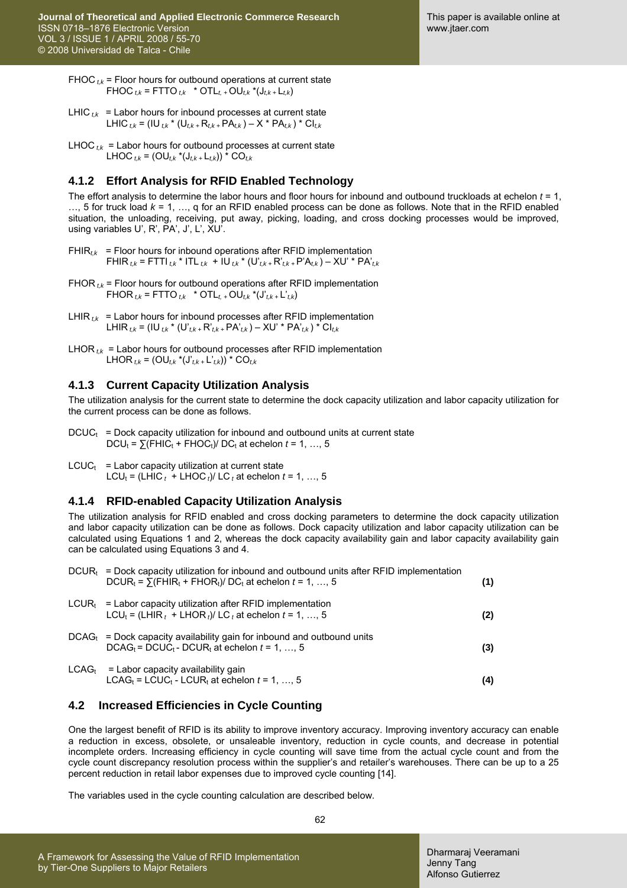FHOC  $t_k$  = Floor hours for outbound operations at current state FHOC  $_{tk}$  = FTTO  $_{tk}$  \* OTL<sub>t+</sub>OU<sub>tk</sub> \*(J<sub>tk+</sub>L<sub>tk</sub>)

- LHIC  $_{tk}$  = Labor hours for inbound processes at current state LHIC<sub>tk</sub> = (IU<sub>tk</sub> \* (U<sub>tk +</sub> R<sub>tk +</sub> PA<sub>tk</sub>) – X \* PA<sub>tk</sub>) \* CI<sub>tk</sub>
- LHOC  $_{tk}$  = Labor hours for outbound processes at current state LHOC  $_{tk}$  = (OU<sub>t,k</sub> \*(J<sub>t,k +</sub> L<sub>t,k</sub>)) \* CO<sub>t,k</sub>

### **4.1.2 Effort Analysis for RFID Enabled Technology**

The effort analysis to determine the labor hours and floor hours for inbound and outbound truckloads at echelon *t* = 1, …, 5 for truck load *k* = 1, …, q for an RFID enabled process can be done as follows. Note that in the RFID enabled situation, the unloading, receiving, put away, picking, loading, and cross docking processes would be improved, using variables U', R', PA', J', L', XU'.

- FHIR<sub>tk</sub> = Floor hours for inbound operations after RFID implementation FHIR *t,k* = FTTI *t,k* \* ITL *t,k* + IU *t,k* \* (U'*t,k +* R'*t,k +* P'A*t,k* ) – XU' \* PA'*t,k*
- FHOR<sub> $t<sub>k</sub>$  = Floor hours for outbound operations after RFID implementation</sub> FHOR  $_{t,k}$  = FTTO  $_{t,k}$  \* OTL<sub>t, +</sub> OU<sub>t,k</sub> \*(J'<sub>t,k +</sub> L'<sub>t,k</sub>)
- LHIR  $_{tk}$  = Labor hours for inbound processes after RFID implementation LHIR  $_{t,k}$  = (IU  $_{t,k}$  \* (U' $_{t,k+}$ R' $_{t,k+}$ PA' $_{t,k}$ ) – XU' \* PA' $_{t,k}$ ) \* CI $_{t,k}$
- LHOR<sub> $t$ k</sub> = Labor hours for outbound processes after RFID implementation LHOR *t,k* = (OU*t,k* \*(J'*t,k +* L'*t,k*)) \* CO*t,k*

#### **4.1.3 Current Capacity Utilization Analysis**

The utilization analysis for the current state to determine the dock capacity utilization and labor capacity utilization for the current process can be done as follows.

- $DCUC_t$  = Dock capacity utilization for inbound and outbound units at current state  $DCU_t = \sum (FHIC_t + FHOC_t) / DC_t$  at echelon  $t = 1, ..., 5$
- $LCUC_t$  = Labor capacity utilization at current state LCU<sub>t</sub> = (LHIC<sub>t</sub> + LHOC<sub>t</sub>)/ LC<sub>t</sub> at echelon  $t = 1, ..., 5$

#### **4.1.4 RFID-enabled Capacity Utilization Analysis**

The utilization analysis for RFID enabled and cross docking parameters to determine the dock capacity utilization and labor capacity utilization can be done as follows. Dock capacity utilization and labor capacity utilization can be calculated using Equations 1 and 2, whereas the dock capacity availability gain and labor capacity availability gain can be calculated using Equations 3 and 4.

| $DCURt = Dock capacitor utilization$ for inbound and outbound units after RFID implementation<br>DCUR <sub>t</sub> = $\Sigma$ (FHIR <sub>t</sub> + FHOR <sub>t</sub> )/ DC <sub>t</sub> at echelon $t = 1, , 5$ | (1) |
|-----------------------------------------------------------------------------------------------------------------------------------------------------------------------------------------------------------------|-----|
| $LCUR_t$ = Labor capacity utilization after RFID implementation<br>$LCU_t = (LHIR_t + LHOR_t)/ LC_t$ at echelon $t = 1, , 5$                                                                                    | (2) |
| $DCAG_t$ = Dock capacity availability gain for inbound and outbound units<br>$DCAG_t = DCUC_t - DCUR_t$ at echelon $t = 1, , 5$                                                                                 | (3) |
| $LCAGt$ = Labor capacity availability gain<br>$LCAG_t = LCUC_t - LCUR_t$ at echelon $t = 1, , 5$                                                                                                                | (4) |

#### **4.2 Increased Efficiencies in Cycle Counting**

One the largest benefit of RFID is its ability to improve inventory accuracy. Improving inventory accuracy can enable a reduction in excess, obsolete, or unsaleable inventory, reduction in cycle counts, and decrease in potential incomplete orders. Increasing efficiency in cycle counting will save time from the actual cycle count and from the cycle count discrepancy resolution process within the supplier's and retailer's warehouses. There can be up to a 25 percent reduction in retail labor expenses due to improved cycle counting [14].

The variables used in the cycle counting calculation are described below.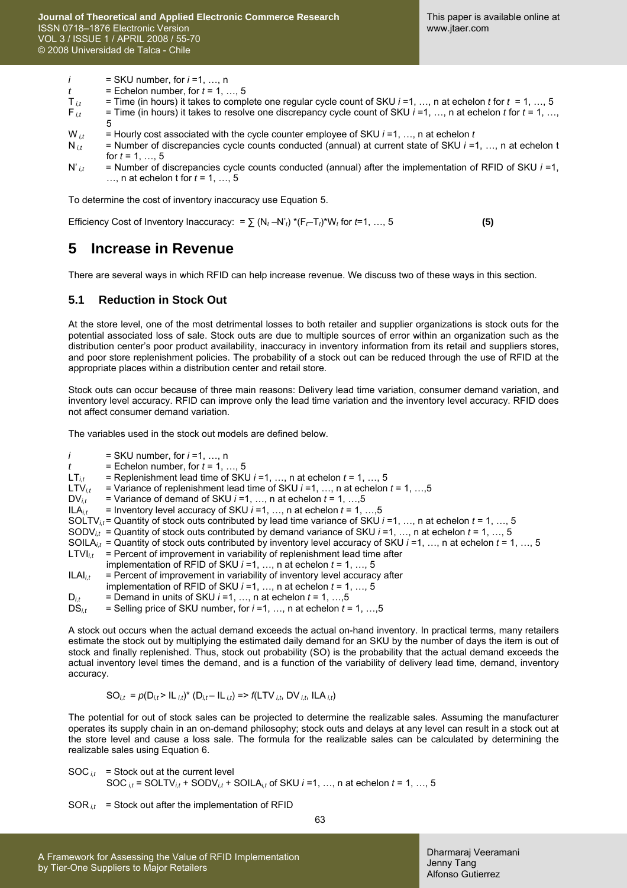$i = SKU$  number, for  $i = 1, ..., n$ 

$$
t = \text{Echelon number, for } t = 1, \ldots, 5
$$

$$
T_{i,t}
$$
 = Time (in hours) it takes to complete one regular cycle count of SKU  $i=1, ..., n$  at echelon t for  $t = 1, ..., 5$ 

F *i,t* = Time (in hours) it takes to resolve one discrepancy cycle count of SKU *i* =1, …, n at echelon *t* for *t* = 1, …, 5

 $W_{i,t}$  = Hourly cost associated with the cycle counter employee of SKU  $i = 1, ..., n$  at echelon *t*  $N_{i,t}$  = Number of discrepancies cycle counts conducted (annual) at current state of SKU  $i = 1$ 

= Number of discrepancies cycle counts conducted (annual) at current state of SKU *i* =1, ..., n at echelon t for  $t = 1, ..., 5$ 

N'<sub>*it*</sub> = Number of discrepancies cycle counts conducted (annual) after the implementation of RFID of SKU *i* =1, …, n at echelon t for *t* = 1, …, 5

To determine the cost of inventory inaccuracy use Equation 5.

Efficiency Cost of Inventory Inaccuracy: =  $\sum (N_t - N'_t) * (F_t - T_t) * W_t$  for  $t = 1, ..., 5$  (5)

### **5 Increase in Revenue**

There are several ways in which RFID can help increase revenue. We discuss two of these ways in this section.

#### **5.1 Reduction in Stock Out**

At the store level, one of the most detrimental losses to both retailer and supplier organizations is stock outs for the potential associated loss of sale. Stock outs are due to multiple sources of error within an organization such as the distribution center's poor product availability, inaccuracy in inventory information from its retail and suppliers stores, and poor store replenishment policies. The probability of a stock out can be reduced through the use of RFID at the appropriate places within a distribution center and retail store.

Stock outs can occur because of three main reasons: Delivery lead time variation, consumer demand variation, and inventory level accuracy. RFID can improve only the lead time variation and the inventory level accuracy. RFID does not affect consumer demand variation.

The variables used in the stock out models are defined below.

- *i* = SKU number, for *i* =1, ..., n
- $t =$  Echelon number, for  $t = 1, ..., 5$ <br>LT<sub>it</sub> = Replenishment lead time of SKI

= Replenishment lead time of SKU *i* =1, ..., n at echelon *t* = 1, ..., 5

LTV*i,t* = Variance of replenishment lead time of SKU *i* =1, …, n at echelon *t* = 1, …,5

 $DV_{i,t}$  = Variance of demand of SKU *i* =1, ..., n at echelon *t* = 1, ..., 5 ILA<sub>*i*</sub> + 1 mventory level accuracy of SKU *i* =1, ..., n at echelon *t* = 1, ..

- $I =$  Inventory level accuracy of SKU  $i = 1, ..., n$  at echelon  $t = 1, ..., 5$
- SOLTV*i,t* = Quantity of stock outs contributed by lead time variance of SKU *i* =1, …, n at echelon *t* = 1, …, 5
- SODV<sub>it</sub> = Quantity of stock outs contributed by demand variance of SKU  $i = 1, ..., n$  at echelon  $t = 1, ..., 5$
- SOILA*i,t* = Quantity of stock outs contributed by inventory level accuracy of SKU *i* =1, …, n at echelon *t* = 1, …, 5
- LTVI $_{it}$  = Percent of improvement in variability of replenishment lead time after
- implementation of RFID of SKU *i* =1, …, n at echelon *t* = 1, …, 5
- $ILAI<sub>i,t</sub>$  = Percent of improvement in variability of inventory level accuracy after
- implementation of RFID of SKU *i* =1, …, n at echelon *t* = 1, …, 5
- $D_{i,t}$  = Demand in units of SKU  $i=1, ..., n$  at echelon  $t=1, ..., 5$
- $DS_{i,t}$  = Selling price of SKU number, for  $i = 1, ..., n$  at echelon  $t = 1, ..., 5$

A stock out occurs when the actual demand exceeds the actual on-hand inventory. In practical terms, many retailers estimate the stock out by multiplying the estimated daily demand for an SKU by the number of days the item is out of stock and finally replenished. Thus, stock out probability (SO) is the probability that the actual demand exceeds the actual inventory level times the demand, and is a function of the variability of delivery lead time, demand, inventory accuracy.

$$
SO_{i,t} = p(D_{i,t} > IL_{i,t})^* (D_{i,t} - IL_{i,t}) \Rightarrow f(LTV_{i,t}, DV_{i,t}, ILA_{i,t})
$$

The potential for out of stock sales can be projected to determine the realizable sales. Assuming the manufacturer operates its supply chain in an on-demand philosophy; stock outs and delays at any level can result in a stock out at the store level and cause a loss sale. The formula for the realizable sales can be calculated by determining the realizable sales using Equation 6.

$$
SOC_{i,t} = Stock out at the current level
$$
  

$$
SOC_{i,t} = SOLTV_{i,t} + SODV_{i,t} + SOLL_{i,t} \text{ of SKU } i=1, ..., n at echelon t = 1, ..., 5
$$

 $SOR_{it}$  = Stock out after the implementation of RFID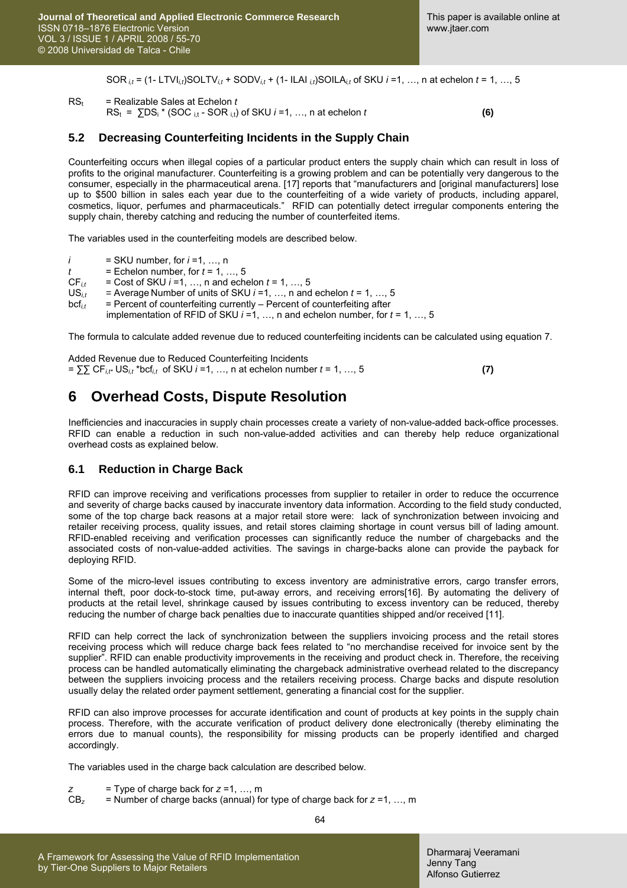SOR<sub>*it*</sub> = (1- LTVI<sub>*it*</sub>)SOLTV<sub>*it*</sub> + SODV<sub>*it*</sub> + (1- ILAI<sub>*it*</sub>)SOILA<sub>*it*</sub> of SKU *i* =1, …, n at echelon *t* = 1, …, 5

 $RS_t$  = Realizable Sales at Echelon  $t$  $RS_t = \sum DS_i * (SOC_{i,t} - SOR_{i,t})$  of SKU  $i = 1, ..., n$  at echelon  $t$  **(6)** 

#### **5.2 Decreasing Counterfeiting Incidents in the Supply Chain**

Counterfeiting occurs when illegal copies of a particular product enters the supply chain which can result in loss of profits to the original manufacturer. Counterfeiting is a growing problem and can be potentially very dangerous to the consumer, especially in the pharmaceutical arena. [17] reports that "manufacturers and [original manufacturers] lose up to \$500 billion in sales each year due to the counterfeiting of a wide variety of products, including apparel, cosmetics, liquor, perfumes and pharmaceuticals." RFID can potentially detect irregular components entering the supply chain, thereby catching and reducing the number of counterfeited items.

The variables used in the counterfeiting models are described below.

- *i* = SKU number, for *i* =1, …, n
- 
- $t =$  Echelon number, for  $t = 1, ..., 5$ <br>CF<sub>it</sub> = Cost of SKU  $i = 1, ..., n$  and ech  $CF_{i,t}$  = Cost of SKU *i* =1, ..., n and echelon *t* = 1, ..., 5<br>US<sub>*i*</sub> = Average Number of units of SKU *i* =1, ..., n and
- $I =$  Average Number of units of SKU  $i = 1, ..., n$  and echelon  $t = 1, ..., 5$
- $bcf<sub>i,t</sub>$  = Percent of counterfeiting currently Percent of counterfeiting after

implementation of RFID of SKU *i* =1, …, n and echelon number, for *t* = 1, …, 5

The formula to calculate added revenue due to reduced counterfeiting incidents can be calculated using equation 7.

| Added Revenue due to Reduced Counterfeiting Incidents                                                                     |  |
|---------------------------------------------------------------------------------------------------------------------------|--|
| = $\sum \text{CF}_{i,t^*} \text{US}_{i,t}$ *bcf <sub>it</sub> of SKU <i>i</i> =1, , n at echelon number <i>t</i> = 1, , 5 |  |

### **6 Overhead Costs, Dispute Resolution**

Inefficiencies and inaccuracies in supply chain processes create a variety of non-value-added back-office processes. RFID can enable a reduction in such non-value-added activities and can thereby help reduce organizational overhead costs as explained below.

#### **6.1 Reduction in Charge Back**

RFID can improve receiving and verifications processes from supplier to retailer in order to reduce the occurrence and severity of charge backs caused by inaccurate inventory data information. According to the field study conducted, some of the top charge back reasons at a major retail store were: lack of synchronization between invoicing and retailer receiving process, quality issues, and retail stores claiming shortage in count versus bill of lading amount. RFID-enabled receiving and verification processes can significantly reduce the number of chargebacks and the associated costs of non-value-added activities. The savings in charge-backs alone can provide the payback for deploying RFID.

Some of the micro-level issues contributing to excess inventory are administrative errors, cargo transfer errors, internal theft, poor dock-to-stock time, put-away errors, and receiving errors[16]. By automating the delivery of products at the retail level, shrinkage caused by issues contributing to excess inventory can be reduced, thereby reducing the number of charge back penalties due to inaccurate quantities shipped and/or received [11].

RFID can help correct the lack of synchronization between the suppliers invoicing process and the retail stores receiving process which will reduce charge back fees related to "no merchandise received for invoice sent by the supplier". RFID can enable productivity improvements in the receiving and product check in. Therefore, the receiving process can be handled automatically eliminating the chargeback administrative overhead related to the discrepancy between the suppliers invoicing process and the retailers receiving process. Charge backs and dispute resolution usually delay the related order payment settlement, generating a financial cost for the supplier.

RFID can also improve processes for accurate identification and count of products at key points in the supply chain process. Therefore, with the accurate verification of product delivery done electronically (thereby eliminating the errors due to manual counts), the responsibility for missing products can be properly identified and charged accordingly.

The variables used in the charge back calculation are described below.

- *z* = Type of charge back for *z* =1, …, m
- $CB_z$  = Number of charge backs (annual) for type of charge back for  $z = 1, ..., m$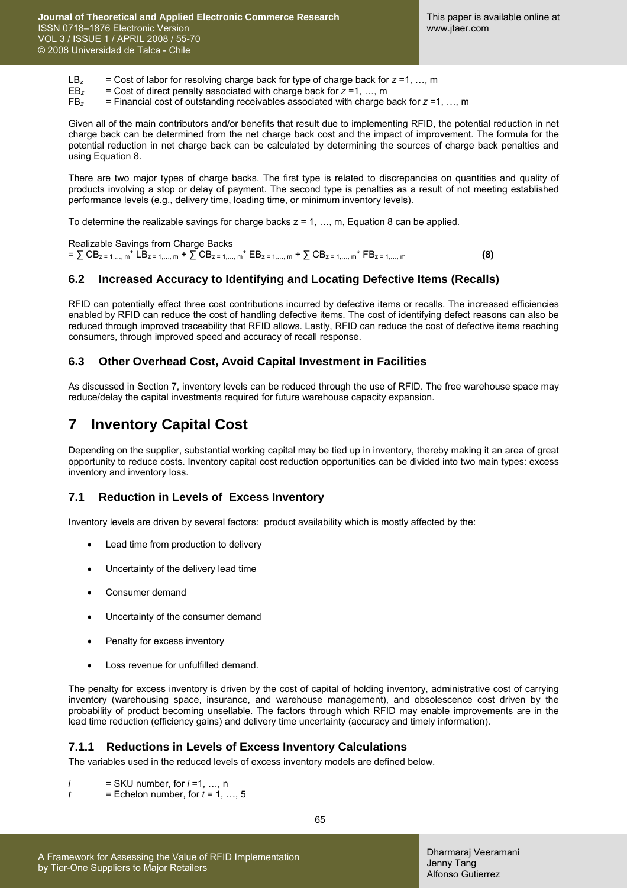LB<sub>z</sub> = Cost of labor for resolving charge back for type of charge back for  $z = 1, ..., m$ <br>EB<sub>z</sub> = Cost of direct penalty associated with charge back for  $z = 1, ..., m$ 

- $EB_z$  = Cost of direct penalty associated with charge back for  $z = 1, ..., m$ <br> $FB_z$  = Financial cost of outstanding receivables associated with charge b
	- FB*z* = Financial cost of outstanding receivables associated with charge back for *z* =1, …, m

Given all of the main contributors and/or benefits that result due to implementing RFID, the potential reduction in net charge back can be determined from the net charge back cost and the impact of improvement. The formula for the potential reduction in net charge back can be calculated by determining the sources of charge back penalties and using Equation 8.

There are two major types of charge backs. The first type is related to discrepancies on quantities and quality of products involving a stop or delay of payment. The second type is penalties as a result of not meeting established performance levels (e.g., delivery time, loading time, or minimum inventory levels).

To determine the realizable savings for charge backs  $z = 1, ..., m$ , Equation 8 can be applied.

Realizable Savings from Charge Backs  $= \sum$  CB<sub>z = 1,…, m</sub> \* LB<sub>z = 1,…, m</sub> +  $\sum$  CB<sub>z = 1,…, m</sub> \* EB<sub>z = 1,…, m</sub> +  $\sum$  CB<sub>z = 1,…, m</sub> \* FB<sub>z = 1,…, m</sub> **(8)** 

#### **6.2 Increased Accuracy to Identifying and Locating Defective Items (Recalls)**

RFID can potentially effect three cost contributions incurred by defective items or recalls. The increased efficiencies enabled by RFID can reduce the cost of handling defective items. The cost of identifying defect reasons can also be reduced through improved traceability that RFID allows. Lastly, RFID can reduce the cost of defective items reaching consumers, through improved speed and accuracy of recall response.

#### **6.3 Other Overhead Cost, Avoid Capital Investment in Facilities**

As discussed in Section 7, inventory levels can be reduced through the use of RFID. The free warehouse space may reduce/delay the capital investments required for future warehouse capacity expansion.

### **7 Inventory Capital Cost**

Depending on the supplier, substantial working capital may be tied up in inventory, thereby making it an area of great opportunity to reduce costs. Inventory capital cost reduction opportunities can be divided into two main types: excess inventory and inventory loss.

#### **7.1 Reduction in Levels of Excess Inventory**

Inventory levels are driven by several factors: product availability which is mostly affected by the:

- Lead time from production to delivery
- Uncertainty of the delivery lead time
- Consumer demand
- Uncertainty of the consumer demand
- Penalty for excess inventory
- Loss revenue for unfulfilled demand.

The penalty for excess inventory is driven by the cost of capital of holding inventory, administrative cost of carrying inventory (warehousing space, insurance, and warehouse management), and obsolescence cost driven by the probability of product becoming unsellable. The factors through which RFID may enable improvements are in the lead time reduction (efficiency gains) and delivery time uncertainty (accuracy and timely information).

#### **7.1.1 Reductions in Levels of Excess Inventory Calculations**

The variables used in the reduced levels of excess inventory models are defined below.

- *i* = SKU number, for *i* =1, …, n
- $t =$  Echelon number, for  $t = 1, ..., 5$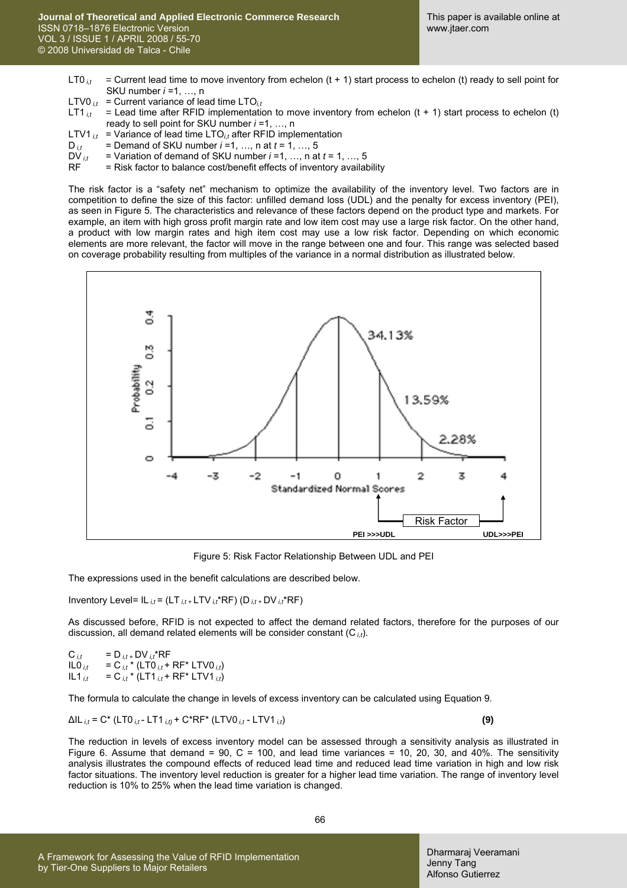- LT0<sub>it</sub> = Current lead time to move inventory from echelon (t + 1) start process to echelon (t) ready to sell point for SKU number *i* =1, …, n
- LTV0<sub>*it*</sub> = Current variance of lead time LTO<sub>*it*</sub>
- LT1 $_{it}$  = Lead time after RFID implementation to move inventory from echelon (t + 1) start process to echelon (t) ready to sell point for SKU number *i* =1, …, n
- LTV1  $_{it}$  = Variance of lead time LTO<sub>it</sub> after RFID implementation  $D_{it}$  = Demand of SKU number *i*=1, ..., n at *t* = 1, ..., 5
- $D_{i,t}$  = Demand of SKU number *i* =1, ..., n at  $t = 1, ..., 5$ <br>DV $_{i,t}$  = Variation of demand of SKU number *i* =1, ..., n at
- = Variation of demand of SKU number  $i = 1, ..., n$  at  $t = 1, ..., 5$
- $RF = Risk factor to balance cost/benefit effects of inventory availability$

The risk factor is a "safety net" mechanism to optimize the availability of the inventory level. Two factors are in competition to define the size of this factor: unfilled demand loss (UDL) and the penalty for excess inventory (PEI), as seen in Figure 5. The characteristics and relevance of these factors depend on the product type and markets. For example, an item with high gross profit margin rate and low item cost may use a large risk factor. On the other hand, a product with low margin rates and high item cost may use a low risk factor. Depending on which economic elements are more relevant, the factor will move in the range between one and four. This range was selected based on coverage probability resulting from multiples of the variance in a normal distribution as illustrated below.



Figure 5: Risk Factor Relationship Between UDL and PEI

The expressions used in the benefit calculations are described below.

Inventory Level= IL *i,t* = (LT *i,t +* LTV *i,t*\*RF) (D *i,t +* DV *i,t*\*RF)

As discussed before, RFID is not expected to affect the demand related factors, therefore for the purposes of our discussion, all demand related elements will be consider constant (C *i,t*).

 $C_{i,t} = D_{i,t+} DV_{i,t}^*RF$  $ILO_{i,t} = C_{i,t} * (LT0_{i,t} + RF^* LTV0_{i,t})$  $IL1_{it} = C_{it} * (LT1_{it} + RF^* LTV1_{it})$ 

The formula to calculate the change in levels of excess inventory can be calculated using Equation 9.

ΔIL *i,t* = C\* (LT0 *i,t* - LT1 *i,t)* + C\*RF\* (LTV0 *i,t* - LTV1 *i,t*) **(9)**

The reduction in levels of excess inventory model can be assessed through a sensitivity analysis as illustrated in Figure 6. Assume that demand = 90, C = 100, and lead time variances = 10, 20, 30, and 40%. The sensitivity analysis illustrates the compound effects of reduced lead time and reduced lead time variation in high and low risk factor situations. The inventory level reduction is greater for a higher lead time variation. The range of inventory level reduction is 10% to 25% when the lead time variation is changed.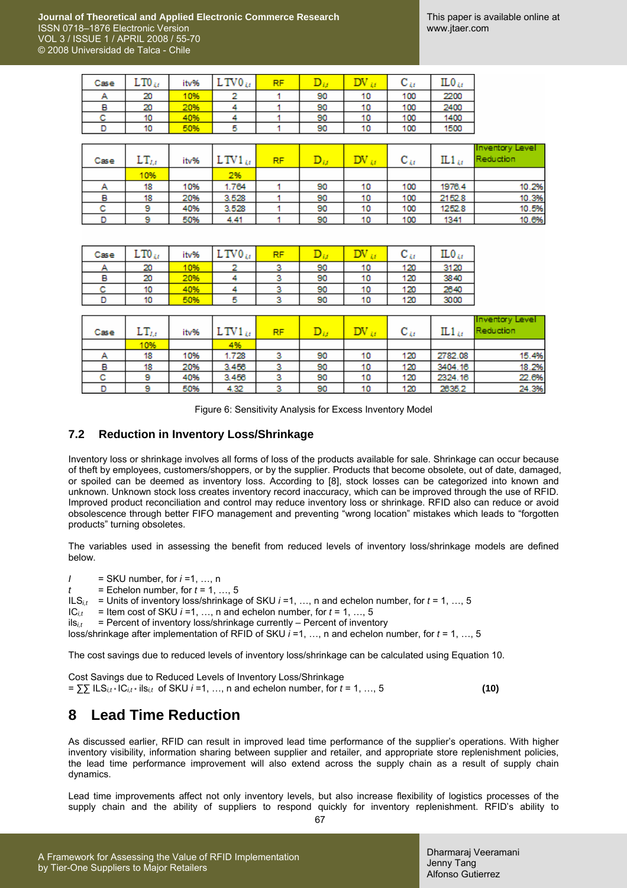| Case | يتى 10. | itv% | V V LE | RF |    |    | ◡   | 11.V (f |
|------|---------|------|--------|----|----|----|-----|---------|
| А    | 20      | '0%  |        |    | 90 | 10 | 100 | 2200    |
| в    | 20      | 20%  |        |    | 90 | 10 | 100 | 2400    |
| с    | 10      | 40%  |        |    | 90 | 10 | 100 | 1400    |
|      | 10      | 50%  | 5      |    | 90 | 10 | 100 | 1500    |
|      |         |      |        |    |    |    |     |         |

| Case | $LT_{I,i}$ | itv% | $\mathrm{LTV1}_{\mathcal{U}}$ | <b>RF</b> |    | $\text{DV}_{\mathcal{U}}$ | $\mathbf{c}_{u}$ | $IL1_{\mathcal{U}}$ | <b>Inventory Level</b><br>Reduction |
|------|------------|------|-------------------------------|-----------|----|---------------------------|------------------|---------------------|-------------------------------------|
|      | 10%        |      | 2%                            |           |    |                           |                  |                     |                                     |
| А    | 18         | 10%  | 1.764                         |           | 90 | 10                        | 100              | 1976.4              | 10.2%                               |
| в    | 18         | 20%  | 3.528                         |           | 90 | 10                        | 100              | 2152.8              | 10.3%                               |
| с    | 9          | 40%  | 3.528                         |           | 90 | 10                        | 100              | 1252.8              | 10.5%                               |
|      | 9          | 50%  | 4.41                          |           | 90 | 10                        | 100              | 1341                | 10.6%                               |

| Case | $\text{LTO}_{4t}$ | itv% | $\mathbf{v}_{0_{M}}$ | DЕ |    |    | ى ب | ILO 41 |
|------|-------------------|------|----------------------|----|----|----|-----|--------|
|      | 20                | 10%  |                      |    | 90 | 10 | 120 | 3120   |
| ь    | 20                | 20%  |                      |    | 90 | 10 | 120 | 3840   |
| с    | 10                | 40%  |                      |    | 90 | 10 | 120 | 2640   |
|      | 10                | 50%  |                      |    | 90 | 10 | 120 | 3000   |

| Case | $LT_{l,t}$ | itv% | $\mathrm{TV1}_{\mathcal{U}}$ | RF | $\mathbf{D}_{ij}$ | $\text{DV}_{\mathcal{U}}$ | $\mathbf{C}_{4t}$ | $IL1_{ij}$ | <b>Inventory Level</b><br>Reduction |
|------|------------|------|------------------------------|----|-------------------|---------------------------|-------------------|------------|-------------------------------------|
|      | 10%        |      | 4%                           |    |                   |                           |                   |            |                                     |
| А    | 18         | 10%  | 1.728                        | з  | 90                | 10                        | 120               | 2782.08    | 15.4%                               |
| в    | 18         | 20%  | 3.456                        |    | 90                | 10                        | 120               | 3404.16    | 18.2%                               |
| с    | 9          | 40%  | 3.456                        | 3  | 90                | 10                        | 120               | 2324.16    | 22.6%                               |
|      | 9          | 50%  | 4.32                         | ۰  | 90                | 10                        | 120               | 2635.2     | 24.3%                               |

Figure 6: Sensitivity Analysis for Excess Inventory Model

#### **7.2 Reduction in Inventory Loss/Shrinkage**

Inventory loss or shrinkage involves all forms of loss of the products available for sale. Shrinkage can occur because of theft by employees, customers/shoppers, or by the supplier. Products that become obsolete, out of date, damaged, or spoiled can be deemed as inventory loss. According to [8], stock losses can be categorized into known and unknown. Unknown stock loss creates inventory record inaccuracy, which can be improved through the use of RFID. Improved product reconciliation and control may reduce inventory loss or shrinkage. RFID also can reduce or avoid obsolescence through better FIFO management and preventing "wrong location" mistakes which leads to "forgotten products" turning obsoletes.

The variables used in assessing the benefit from reduced levels of inventory loss/shrinkage models are defined below.

*I* = SKU number, for *i* =1, …, n

 $t =$  Echelon number, for  $t = 1, ..., 5$ 

ILS*i,t* = Units of inventory loss/shrinkage of SKU *i* =1, …, n and echelon number, for *t* = 1, …, 5

 $IC_{i,t}$  = Item cost of SKU *i* =1, ..., n and echelon number, for  $t = 1, ..., 5$ 

 $ils<sub>it</sub>$  = Percent of inventory loss/shrinkage currently – Percent of inventory

loss/shrinkage after implementation of RFID of SKU *i* =1, …, n and echelon number, for *t* = 1, …, 5

The cost savings due to reduced levels of inventory loss/shrinkage can be calculated using Equation 10.

Cost Savings due to Reduced Levels of Inventory Loss/Shrinkage  $=$   $\sum \sum \text{ILS}_{it} \cdot \text{IC}_{it} \cdot \text{ils}_{it}$  of SKU *i* =1, …, n and echelon number, for *t* = 1, …, 5 **(10)** 

# **8 Lead Time Reduction**

As discussed earlier, RFID can result in improved lead time performance of the supplier's operations. With higher inventory visibility, information sharing between supplier and retailer, and appropriate store replenishment policies, the lead time performance improvement will also extend across the supply chain as a result of supply chain dynamics.

Lead time improvements affect not only inventory levels, but also increase flexibility of logistics processes of the supply chain and the ability of suppliers to respond quickly for inventory replenishment. RFID's ability to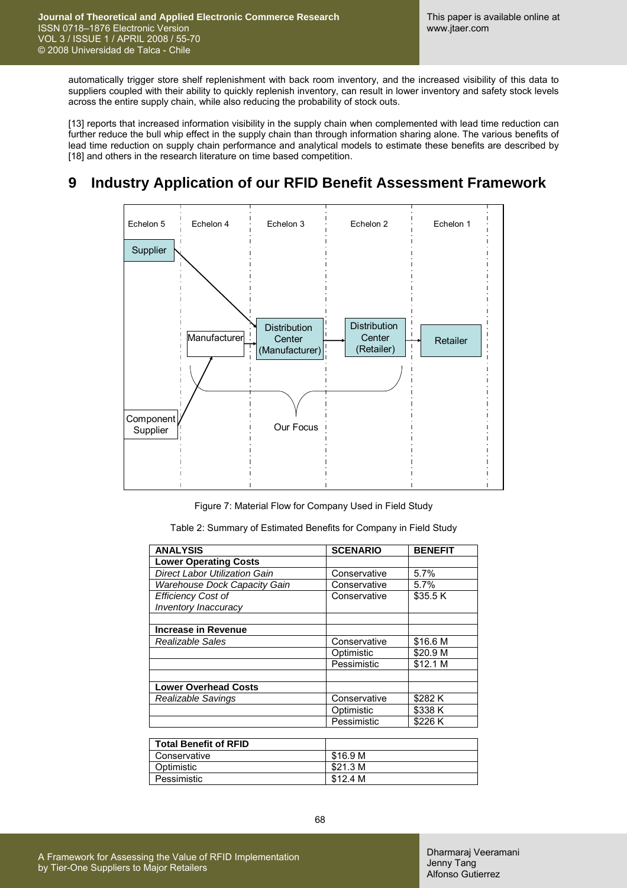automatically trigger store shelf replenishment with back room inventory, and the increased visibility of this data to suppliers coupled with their ability to quickly replenish inventory, can result in lower inventory and safety stock levels across the entire supply chain, while also reducing the probability of stock outs.

[13] reports that increased information visibility in the supply chain when complemented with lead time reduction can further reduce the bull whip effect in the supply chain than through information sharing alone. The various benefits of lead time reduction on supply chain performance and analytical models to estimate these benefits are described by [18] and others in the research literature on time based competition.

# **9 Industry Application of our RFID Benefit Assessment Framework**



Figure 7: Material Flow for Company Used in Field Study

| Table 2: Summary of Estimated Benefits for Company in Field Study |  |  |
|-------------------------------------------------------------------|--|--|
|                                                                   |  |  |

| <b>ANALYSIS</b>                      | <b>SCENARIO</b> | <b>BENEFIT</b> |
|--------------------------------------|-----------------|----------------|
| <b>Lower Operating Costs</b>         |                 |                |
| <b>Direct Labor Utilization Gain</b> | Conservative    | 5.7%           |
| <b>Warehouse Dock Capacity Gain</b>  | Conservative    | 5.7%           |
| <b>Efficiency Cost of</b>            | Conservative    | \$35.5 K       |
| Inventory Inaccuracy                 |                 |                |
|                                      |                 |                |
| <b>Increase in Revenue</b>           |                 |                |
| Realizable Sales                     | Conservative    | \$16.6 M       |
|                                      | Optimistic      | \$20.9 M       |
|                                      | Pessimistic     | \$12.1 M       |
|                                      |                 |                |
| <b>Lower Overhead Costs</b>          |                 |                |
| Realizable Savings                   | Conservative    | \$282 K        |
|                                      | Optimistic      | \$338 K        |
|                                      | Pessimistic     | \$226 K        |
|                                      |                 |                |

| <b>Total Benefit of RFID</b> |          |
|------------------------------|----------|
| Conservative                 | \$16.9 M |
| Optimistic                   | \$21.3 M |
| Pessimistic                  | \$12.4 M |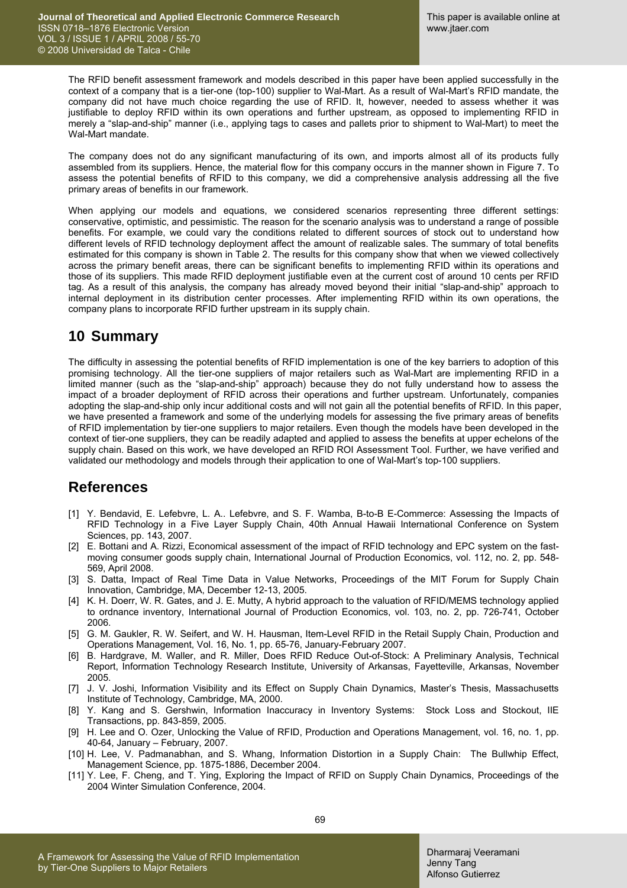The RFID benefit assessment framework and models described in this paper have been applied successfully in the context of a company that is a tier-one (top-100) supplier to Wal-Mart. As a result of Wal-Mart's RFID mandate, the company did not have much choice regarding the use of RFID. It, however, needed to assess whether it was justifiable to deploy RFID within its own operations and further upstream, as opposed to implementing RFID in merely a "slap-and-ship" manner (i.e., applying tags to cases and pallets prior to shipment to Wal-Mart) to meet the Wal-Mart mandate.

The company does not do any significant manufacturing of its own, and imports almost all of its products fully assembled from its suppliers. Hence, the material flow for this company occurs in the manner shown in Figure 7. To assess the potential benefits of RFID to this company, we did a comprehensive analysis addressing all the five primary areas of benefits in our framework.

When applying our models and equations, we considered scenarios representing three different settings: conservative, optimistic, and pessimistic. The reason for the scenario analysis was to understand a range of possible benefits. For example, we could vary the conditions related to different sources of stock out to understand how different levels of RFID technology deployment affect the amount of realizable sales. The summary of total benefits estimated for this company is shown in Table 2. The results for this company show that when we viewed collectively across the primary benefit areas, there can be significant benefits to implementing RFID within its operations and those of its suppliers. This made RFID deployment justifiable even at the current cost of around 10 cents per RFID tag. As a result of this analysis, the company has already moved beyond their initial "slap-and-ship" approach to internal deployment in its distribution center processes. After implementing RFID within its own operations, the company plans to incorporate RFID further upstream in its supply chain.

# **10 Summary**

The difficulty in assessing the potential benefits of RFID implementation is one of the key barriers to adoption of this promising technology. All the tier-one suppliers of major retailers such as Wal-Mart are implementing RFID in a limited manner (such as the "slap-and-ship" approach) because they do not fully understand how to assess the impact of a broader deployment of RFID across their operations and further upstream. Unfortunately, companies adopting the slap-and-ship only incur additional costs and will not gain all the potential benefits of RFID. In this paper, we have presented a framework and some of the underlying models for assessing the five primary areas of benefits of RFID implementation by tier-one suppliers to major retailers. Even though the models have been developed in the context of tier-one suppliers, they can be readily adapted and applied to assess the benefits at upper echelons of the supply chain. Based on this work, we have developed an RFID ROI Assessment Tool. Further, we have verified and validated our methodology and models through their application to one of Wal-Mart's top-100 suppliers.

### **References**

- [1] Y. Bendavid, E. Lefebvre, L. A.. Lefebvre, and S. F. Wamba, B-to-B E-Commerce: Assessing the Impacts of RFID Technology in a Five Layer Supply Chain, 40th Annual Hawaii International Conference on System Sciences, pp. 143, 2007.
- [2] E. Bottani and A. Rizzi, Economical assessment of the impact of RFID technology and EPC system on the fastmoving consumer goods supply chain, International Journal of Production Economics, vol. 112, no. 2, pp. 548- 569, April 2008.
- [3] S. Datta, Impact of Real Time Data in Value Networks, Proceedings of the MIT Forum for Supply Chain Innovation, Cambridge, MA, December 12-13, 2005.
- [4] K. H. Doerr, W. R. Gates, and J. E. Mutty, A hybrid approach to the valuation of RFID/MEMS technology applied to ordnance inventory, International Journal of Production Economics, vol. 103, no. 2, pp. 726-741, October 2006.
- [5] G. M. Gaukler, R. W. Seifert, and W. H. Hausman, Item-Level RFID in the Retail Supply Chain, Production and Operations Management, Vol. 16, No. 1, pp. 65-76, January-February 2007.
- [6] B. Hardgrave, M. Waller, and R. Miller, Does RFID Reduce Out-of-Stock: A Preliminary Analysis, Technical Report, Information Technology Research Institute, University of Arkansas, Fayetteville, Arkansas, November 2005.
- [7] J. V. Joshi, Information Visibility and its Effect on Supply Chain Dynamics, Master's Thesis, Massachusetts Institute of Technology, Cambridge, MA, 2000.
- [8] Y. Kang and S. Gershwin, Information Inaccuracy in Inventory Systems: Stock Loss and Stockout, IIE Transactions, pp. 843-859, 2005.
- [9] H. Lee and O. Ozer, Unlocking the Value of RFID, Production and Operations Management, vol. 16, no. 1, pp. 40-64, January – February, 2007.
- [10] H. Lee, V. Padmanabhan, and S. Whang, Information Distortion in a Supply Chain: The Bullwhip Effect, Management Science, pp. 1875-1886, December 2004.
- [11] Y. Lee, F. Cheng, and T. Ying, Exploring the Impact of RFID on Supply Chain Dynamics, Proceedings of the 2004 Winter Simulation Conference, 2004.